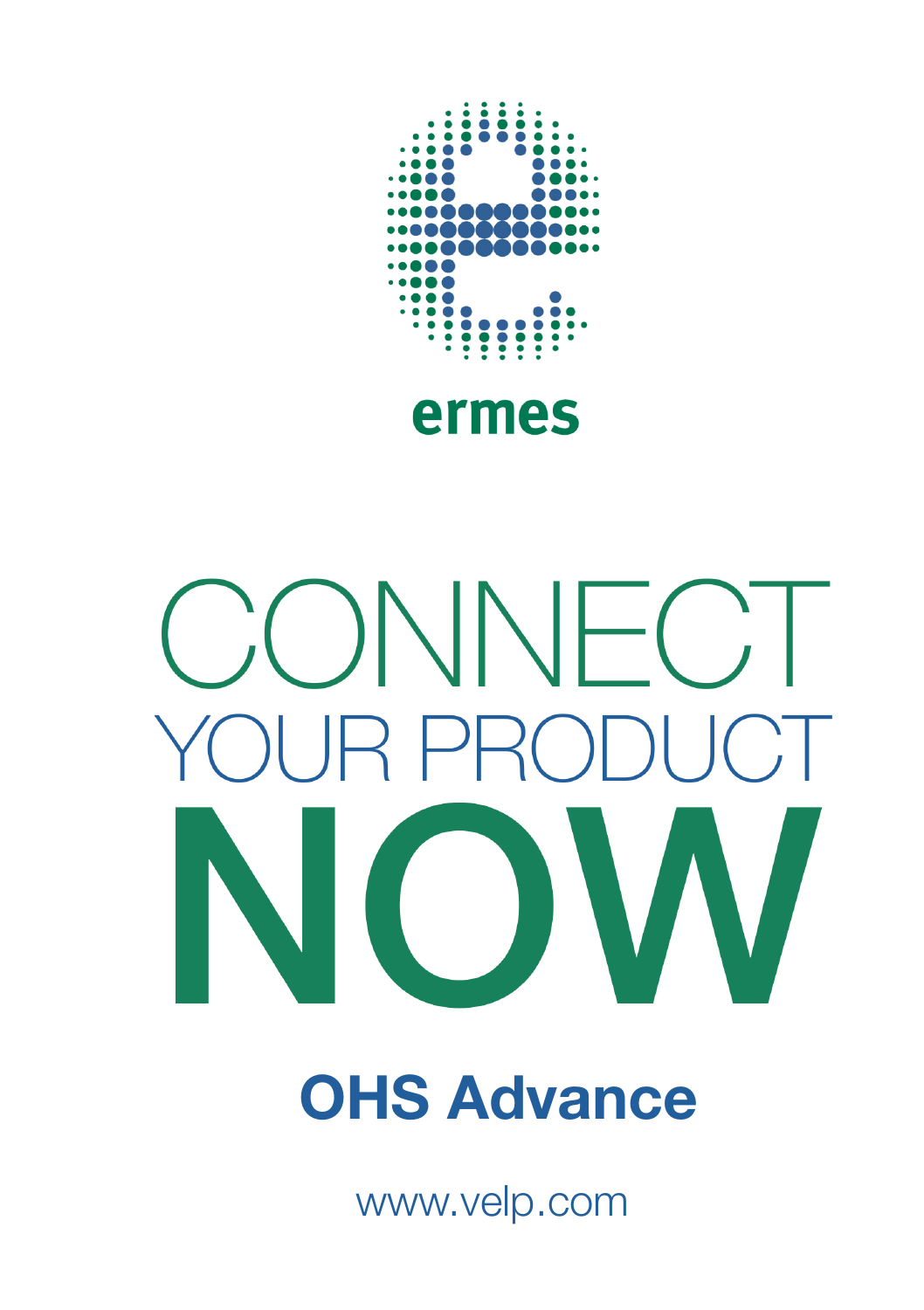

# ermes

# ONNFC  $\mathsf{P}$  $\prec$ (  $\overline{(\ )}$

# OHS Advance

www.velp.com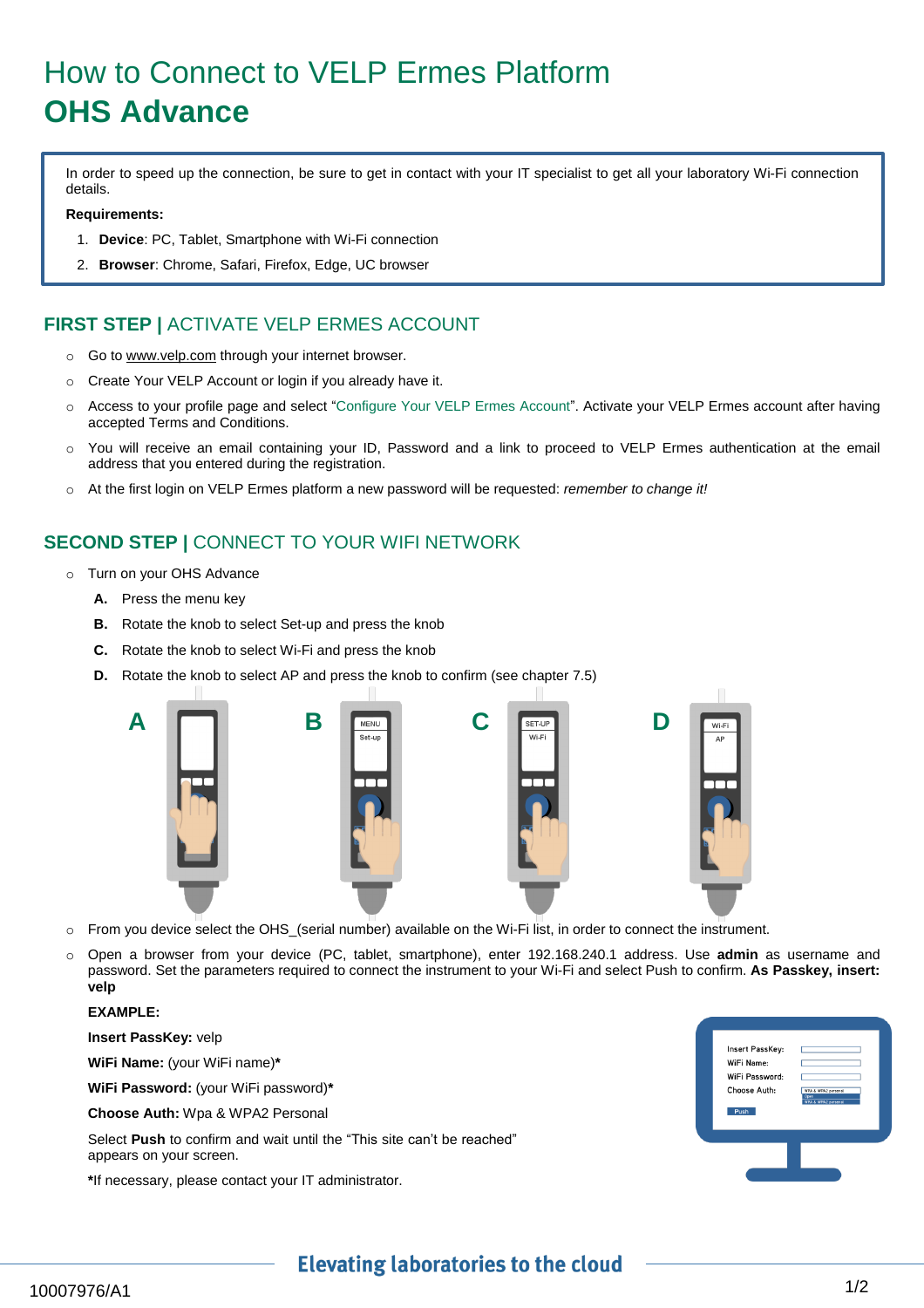## How to Connect to VELP Ermes Platform **OHS Advance**

In order to speed up the connection, be sure to get in contact with your IT specialist to get all your laboratory Wi-Fi connection details.

**Requirements:**

- 1. **Device**: PC, Tablet, Smartphone with Wi-Fi connection
- 2. **Browser**: Chrome, Safari, Firefox, Edge, UC browser

#### **FIRST STEP |** ACTIVATE VELP ERMES ACCOUNT

- o Go to [www.velp.com](http://www.velp.com/) through your internet browser.
- o Create Your VELP Account or login if you already have it.
- o Access to your profile page and select "Configure Your VELP Ermes Account". Activate your VELP Ermes account after having accepted Terms and Conditions.
- o You will receive an email containing your ID, Password and a link to proceed to VELP Ermes authentication at the email address that you entered during the registration.
- o At the first login on VELP Ermes platform a new password will be requested: *remember to change it!*

#### **SECOND STEP |** CONNECT TO YOUR WIFI NETWORK

- o Turn on your OHS Advance
	- **A.** Press the menu key
	- **B.** Rotate the knob to select Set-up and press the knob
	- **C.** Rotate the knob to select Wi-Fi and press the knob
	- **D.** Rotate the knob to select AP and press the knob to confirm (see chapter 7.5)



- $\circ$  From you device select the OHS\_(serial number) available on the Wi-Fi list, in order to connect the instrument.
- o Open a browser from your device (PC, tablet, smartphone), enter 192.168.240.1 address. Use **admin** as username and password. Set the parameters required to connect the instrument to your Wi-Fi and select Push to confirm. **As Passkey, insert: velp**

**EXAMPLE:**

**Insert PassKey:** velp

**WiFi Name:** (your WiFi name)**\***

**WiFi Password:** (your WiFi password)**\***

**Choose Auth:** Wpa & WPA2 Personal

Select **Push** to confirm and wait until the "This site can't be reached" appears on your screen.

**\***If necessary, please contact your IT administrator.



#### **Elevating laboratories to the cloud**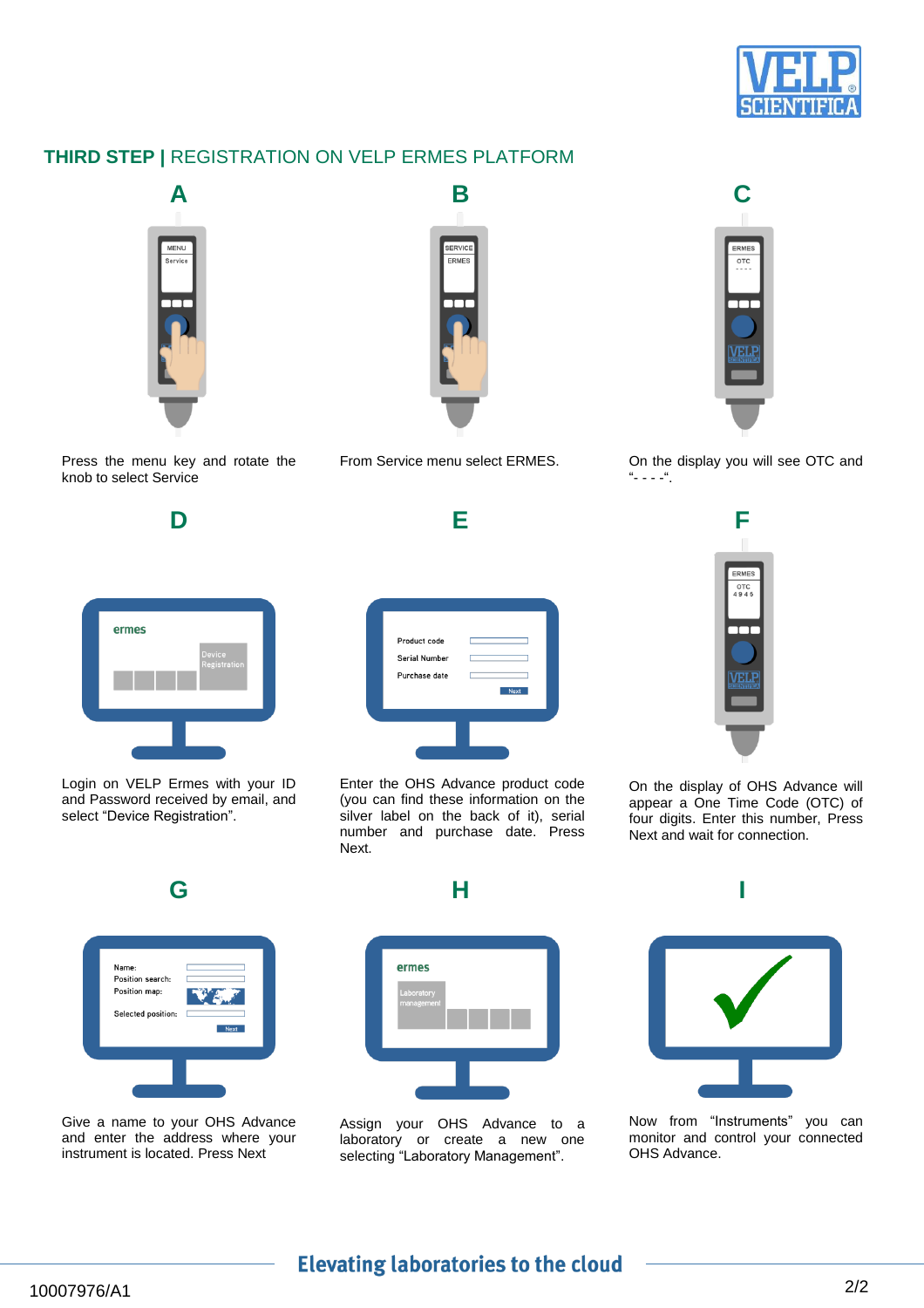

#### **THIRD STEP |** REGISTRATION ON VELP ERMES PLATFORM



Press the menu key and rotate the knob to select Service

**D**



From Service menu select ERMES.

**E**



On the display you will see OTC and  $\mu$ <sup>"</sup>- - - -  $\mu$ <sup>"</sup>.



Login on VELP Ermes with your ID and Password received by email, and select "Device Registration".



Enter the OHS Advance product code (you can find these information on the silver label on the back of it), serial number and purchase date. Press Next.

**H**



On the display of OHS Advance will appear a One Time Code (OTC) of four digits. Enter this number, Press Next and wait for connection.

**I**



Give a name to your OHS Advance and enter the address where your instrument is located. Press Next



Assign your OHS Advance to a laboratory or create a new one selecting "Laboratory Management".



Now from "Instruments" you can monitor and control your connected OHS Advance.